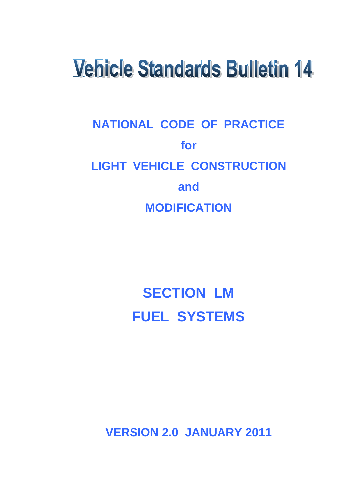# **Vehicle Standards Bulletin 14**

# **NATIONAL CODE OF PRACTICE for LIGHT VEHICLE CONSTRUCTION and MODIFICATION**

# **SECTION LM FUEL SYSTEMS**

**VERSION 2.0 JANUARY 2011**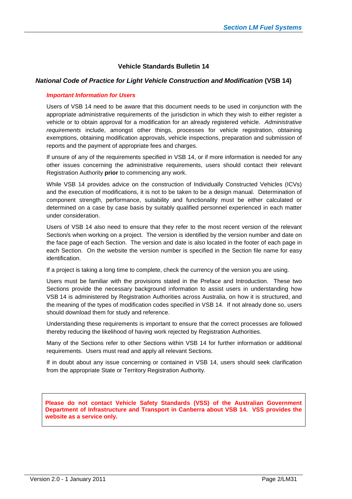#### **Vehicle Standards Bulletin 14**

#### *National Code of Practice for Light Vehicle Construction and Modification* **(VSB 14)**

#### *Important Information for Users*

Users of VSB 14 need to be aware that this document needs to be used in conjunction with the appropriate administrative requirements of the jurisdiction in which they wish to either register a vehicle or to obtain approval for a modification for an already registered vehicle. *Administrative requirements* include, amongst other things, processes for vehicle registration, obtaining exemptions, obtaining modification approvals, vehicle inspections, preparation and submission of reports and the payment of appropriate fees and charges.

If unsure of any of the requirements specified in VSB 14, or if more information is needed for any other issues concerning the administrative requirements, users should contact their relevant Registration Authority **prior** to commencing any work.

While VSB 14 provides advice on the construction of Individually Constructed Vehicles (ICVs) and the execution of modifications, it is not to be taken to be a design manual. Determination of component strength, performance, suitability and functionality must be either calculated or determined on a case by case basis by suitably qualified personnel experienced in each matter under consideration.

Users of VSB 14 also need to ensure that they refer to the most recent version of the relevant Section/s when working on a project. The version is identified by the version number and date on the face page of each Section. The version and date is also located in the footer of each page in each Section. On the website the version number is specified in the Section file name for easy identification.

If a project is taking a long time to complete, check the currency of the version you are using.

Users must be familiar with the provisions stated in the Preface and Introduction. These two Sections provide the necessary background information to assist users in understanding how VSB 14 is administered by Registration Authorities across Australia, on how it is structured, and the meaning of the types of modification codes specified in VSB 14. If not already done so, users should download them for study and reference.

Understanding these requirements is important to ensure that the correct processes are followed thereby reducing the likelihood of having work rejected by Registration Authorities.

Many of the Sections refer to other Sections within VSB 14 for further information or additional requirements. Users must read and apply all relevant Sections.

If in doubt about any issue concerning or contained in VSB 14, users should seek clarification from the appropriate State or Territory Registration Authority.

**Please do not contact Vehicle Safety Standards (VSS) of the Australian Government Department of Infrastructure and Transport in Canberra about VSB 14. VSS provides the website as a service only.**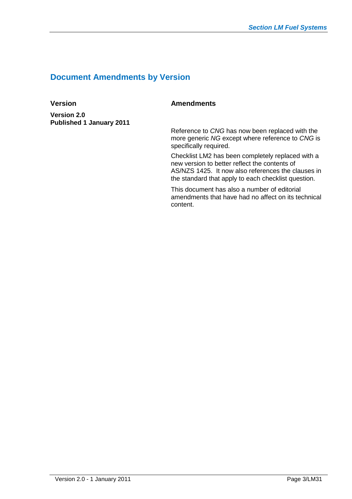# **Document Amendments by Version**

**Version 2.0 Published 1 January 2011**

# **Version** Amendments

Reference to *CNG* has now been replaced with the more generic *NG* except where reference to *CNG* is specifically required.

Checklist LM2 has been completely replaced with a new version to better reflect the contents of AS/NZS 1425. It now also references the clauses in the standard that apply to each checklist question.

This document has also a number of editorial amendments that have had no affect on its technical content.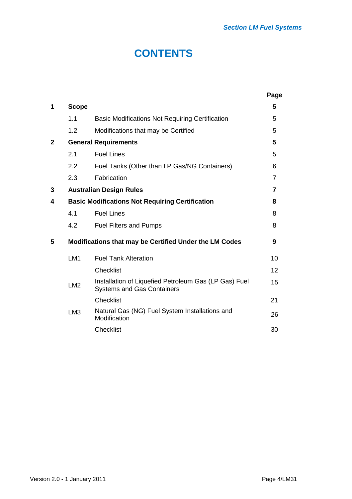# **CONTENTS**

|              |                 |                                                                                            | Page           |
|--------------|-----------------|--------------------------------------------------------------------------------------------|----------------|
| 1            | <b>Scope</b>    |                                                                                            | 5              |
|              | 1.1             | <b>Basic Modifications Not Requiring Certification</b>                                     | 5              |
|              | 1.2             | Modifications that may be Certified                                                        | 5              |
| $\mathbf{2}$ |                 | <b>General Requirements</b>                                                                | 5              |
|              | 2.1             | <b>Fuel Lines</b>                                                                          | 5              |
|              | 2.2             | Fuel Tanks (Other than LP Gas/NG Containers)                                               | 6              |
|              | 2.3             | Fabrication                                                                                | $\overline{7}$ |
| 3            |                 | <b>Australian Design Rules</b>                                                             | 7              |
| 4            |                 | <b>Basic Modifications Not Requiring Certification</b>                                     | 8              |
|              | 4.1             | <b>Fuel Lines</b>                                                                          | 8              |
|              | 4.2             | <b>Fuel Filters and Pumps</b>                                                              | 8              |
| 5            |                 | Modifications that may be Certified Under the LM Codes                                     | 9              |
|              | LM <sub>1</sub> | <b>Fuel Tank Alteration</b>                                                                | 10             |
|              |                 | Checklist                                                                                  | 12             |
|              | LM <sub>2</sub> | Installation of Liquefied Petroleum Gas (LP Gas) Fuel<br><b>Systems and Gas Containers</b> | 15             |
|              |                 | <b>Checklist</b>                                                                           | 21             |
|              | LM <sub>3</sub> | Natural Gas (NG) Fuel System Installations and<br>Modification                             | 26             |
|              |                 | <b>Checklist</b>                                                                           | 30             |
|              |                 |                                                                                            |                |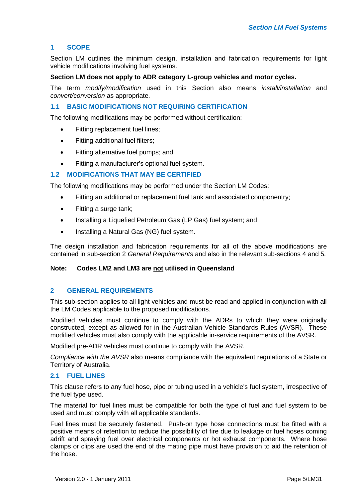#### **1 SCOPE**

Section LM outlines the minimum design, installation and fabrication requirements for light vehicle modifications involving fuel systems.

#### **Section LM does not apply to ADR category L-group vehicles and motor cycles.**

The term *modify/modification* used in this Section also means *install/installation* and *convert/conversion* as appropriate.

#### **1.1 BASIC MODIFICATIONS NOT REQUIRING CERTIFICATION**

The following modifications may be performed without certification:

- Fitting replacement fuel lines;
- Fitting additional fuel filters;
- Fitting alternative fuel pumps; and
- Fitting a manufacturer's optional fuel system.

#### **1.2 MODIFICATIONS THAT MAY BE CERTIFIED**

The following modifications may be performed under the Section LM Codes:

- Fitting an additional or replacement fuel tank and associated componentry;
- Fitting a surge tank;
- Installing a Liquefied Petroleum Gas (LP Gas) fuel system; and
- Installing a Natural Gas (NG) fuel system.

The design installation and fabrication requirements for all of the above modifications are contained in sub-section 2 *General Requirements* and also in the relevant sub-sections 4 and 5.

#### **Note: Codes LM2 and LM3 are not utilised in Queensland**

#### **2 GENERAL REQUIREMENTS**

This sub-section applies to all light vehicles and must be read and applied in conjunction with all the LM Codes applicable to the proposed modifications.

Modified vehicles must continue to comply with the ADRs to which they were originally constructed, except as allowed for in the Australian Vehicle Standards Rules (AVSR). These modified vehicles must also comply with the applicable in-service requirements of the AVSR.

Modified pre-ADR vehicles must continue to comply with the AVSR.

*Compliance with the AVSR* also means compliance with the equivalent regulations of a State or Territory of Australia.

#### **2.1 FUEL LINES**

This clause refers to any fuel hose, pipe or tubing used in a vehicle's fuel system, irrespective of the fuel type used.

The material for fuel lines must be compatible for both the type of fuel and fuel system to be used and must comply with all applicable standards.

Fuel lines must be securely fastened. Push-on type hose connections must be fitted with a positive means of retention to reduce the possibility of fire due to leakage or fuel hoses coming adrift and spraying fuel over electrical components or hot exhaust components. Where hose clamps or clips are used the end of the mating pipe must have provision to aid the retention of the hose.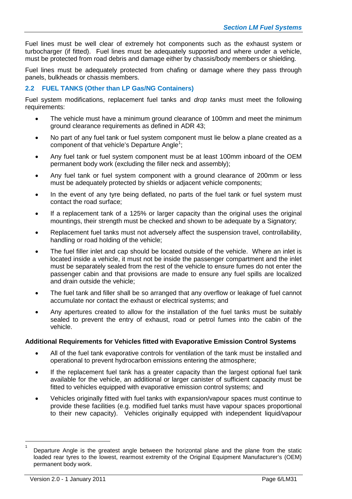Fuel lines must be well clear of extremely hot components such as the exhaust system or turbocharger (if fitted). Fuel lines must be adequately supported and where under a vehicle, must be protected from road debris and damage either by chassis/body members or shielding.

Fuel lines must be adequately protected from chafing or damage where they pass through panels, bulkheads or chassis members.

#### **2.2 FUEL TANKS (Other than LP Gas/NG Containers)**

Fuel system modifications, replacement fuel tanks and *drop tanks* must meet the following requirements:

- The vehicle must have a minimum ground clearance of 100mm and meet the minimum ground clearance requirements as defined in ADR 43;
- No part of any fuel tank or fuel system component must lie below a plane created as a component of that vehicle's Departure Angle<sup>[1](#page-5-0)</sup>;
- Any fuel tank or fuel system component must be at least 100mm inboard of the OEM permanent body work (excluding the filler neck and assembly);
- Any fuel tank or fuel system component with a ground clearance of 200mm or less must be adequately protected by shields or adjacent vehicle components;
- In the event of any tyre being deflated, no parts of the fuel tank or fuel system must contact the road surface;
- If a replacement tank of a 125% or larger capacity than the original uses the original mountings, their strength must be checked and shown to be adequate by a Signatory;
- Replacement fuel tanks must not adversely affect the suspension travel, controllability, handling or road holding of the vehicle;
- The fuel filler inlet and cap should be located outside of the vehicle. Where an inlet is located inside a vehicle, it must not be inside the passenger compartment and the inlet must be separately sealed from the rest of the vehicle to ensure fumes do not enter the passenger cabin and that provisions are made to ensure any fuel spills are localized and drain outside the vehicle;
- The fuel tank and filler shall be so arranged that any overflow or leakage of fuel cannot accumulate nor contact the exhaust or electrical systems; and
- Any apertures created to allow for the installation of the fuel tanks must be suitably sealed to prevent the entry of exhaust, road or petrol fumes into the cabin of the vehicle.

#### **Additional Requirements for Vehicles fitted with Evaporative Emission Control Systems**

- All of the fuel tank evaporative controls for ventilation of the tank must be installed and operational to prevent hydrocarbon emissions entering the atmosphere;
- If the replacement fuel tank has a greater capacity than the largest optional fuel tank available for the vehicle, an additional or larger canister of sufficient capacity must be fitted to vehicles equipped with evaporative emission control systems; and
- Vehicles originally fitted with fuel tanks with expansion/vapour spaces must continue to provide these facilities (e.g. modified fuel tanks must have vapour spaces proportional to their new capacity). Vehicles originally equipped with independent liquid/vapour

<span id="page-5-0"></span><sup>1</sup> Departure Angle is the greatest angle between the horizontal plane and the plane from the static loaded rear tyres to the lowest, rearmost extremity of the Original Equipment Manufacturer's (OEM) permanent body work.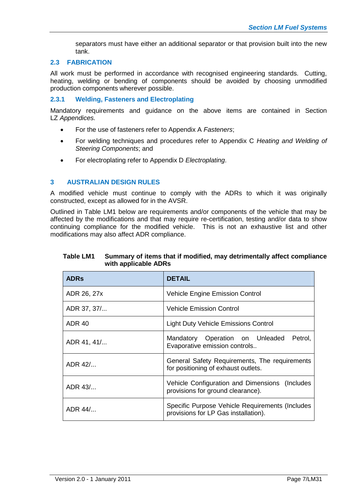separators must have either an additional separator or that provision built into the new tank.

#### **2.3 FABRICATION**

All work must be performed in accordance with recognised engineering standards. Cutting, heating, welding or bending of components should be avoided by choosing unmodified production components wherever possible.

#### **2.3.1 Welding, Fasteners and Electroplating**

Mandatory requirements and guidance on the above items are contained in Section LZ *Appendices.*

- For the use of fasteners refer to Appendix A *Fasteners*;
- For welding techniques and procedures refer to Appendix C *Heating and Welding of Steering Components*; and
- For electroplating refer to Appendix D *Electroplating*.

#### **3 AUSTRALIAN DESIGN RULES**

A modified vehicle must continue to comply with the ADRs to which it was originally constructed, except as allowed for in the AVSR.

Outlined in Table LM1 below are requirements and/or components of the vehicle that may be affected by the modifications and that may require re-certification, testing and/or data to show continuing compliance for the modified vehicle. This is not an exhaustive list and other modifications may also affect ADR compliance.

| <b>ADRs</b>   | <b>DETAIL</b>                                                                       |
|---------------|-------------------------------------------------------------------------------------|
| ADR 26, 27x   | <b>Vehicle Engine Emission Control</b>                                              |
| ADR 37, 37/   | <b>Vehicle Emission Control</b>                                                     |
| <b>ADR 40</b> | <b>Light Duty Vehicle Emissions Control</b>                                         |
| ADR 41, 41/   | Mandatory Operation on Unleaded<br>Petrol,<br>Evaporative emission controls         |
| ADR 42/       | General Safety Requirements, The requirements<br>for positioning of oxpount outlets |

#### **Table LM1 Summary of items that if modified, may detrimentally affect compliance with applicable ADRs**

|         | for positioning of exhaust outlets.                                                     |
|---------|-----------------------------------------------------------------------------------------|
| ADR 43/ | Vehicle Configuration and Dimensions (Includes<br>provisions for ground clearance).     |
| ADR 44/ | Specific Purpose Vehicle Requirements (Includes<br>provisions for LP Gas installation). |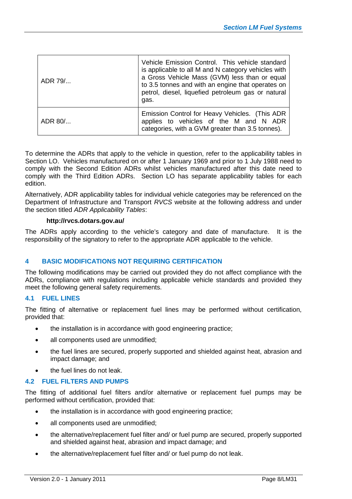| ADR 79/   | Vehicle Emission Control. This vehicle standard<br>is applicable to all M and N category vehicles with<br>a Gross Vehicle Mass (GVM) less than or equal<br>to 3.5 tonnes and with an engine that operates on<br>petrol, diesel, liquefied petroleum gas or natural<br>gas. |
|-----------|----------------------------------------------------------------------------------------------------------------------------------------------------------------------------------------------------------------------------------------------------------------------------|
| $ADR 80/$ | Emission Control for Heavy Vehicles. (This ADR<br>applies to vehicles of the M and N ADR<br>categories, with a GVM greater than 3.5 tonnes).                                                                                                                               |

To determine the ADRs that apply to the vehicle in question, refer to the applicability tables in Section LO. Vehicles manufactured on or after 1 January 1969 and prior to 1 July 1988 need to comply with the Second Edition ADRs whilst vehicles manufactured after this date need to comply with the Third Edition ADRs. Section LO has separate applicability tables for each edition.

Alternatively, ADR applicability tables for individual vehicle categories may be referenced on the Department of Infrastructure and Transport *RVCS* website at the following address and under the section titled *ADR Applicability Tables*:

#### **http://rvcs.dotars.gov.au/**

The ADRs apply according to the vehicle's category and date of manufacture. It is the responsibility of the signatory to refer to the appropriate ADR applicable to the vehicle.

#### **4 BASIC MODIFICATIONS NOT REQUIRING CERTIFICATION**

The following modifications may be carried out provided they do not affect compliance with the ADRs, compliance with regulations including applicable vehicle standards and provided they meet the following general safety requirements.

#### **4.1 FUEL LINES**

The fitting of alternative or replacement fuel lines may be performed without certification, provided that:

- the installation is in accordance with good engineering practice;
- all components used are unmodified;
- the fuel lines are secured, properly supported and shielded against heat, abrasion and impact damage; and
- the fuel lines do not leak.

#### **4.2 FUEL FILTERS AND PUMPS**

The fitting of additional fuel filters and/or alternative or replacement fuel pumps may be performed without certification, provided that:

- the installation is in accordance with good engineering practice;
- all components used are unmodified;
- the alternative/replacement fuel filter and/ or fuel pump are secured, properly supported and shielded against heat, abrasion and impact damage; and
- the alternative/replacement fuel filter and/ or fuel pump do not leak.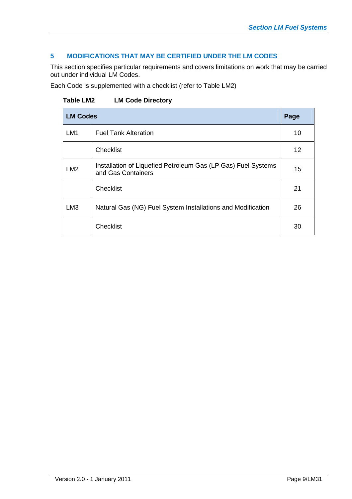### **5 MODIFICATIONS THAT MAY BE CERTIFIED UNDER THE LM CODES**

This section specifies particular requirements and covers limitations on work that may be carried out under individual LM Codes.

Each Code is supplemented with a checklist (refer to Table LM2)

**Table LM2 LM Code Directory**

| <b>LM Codes</b> |                                                                                     | Page |
|-----------------|-------------------------------------------------------------------------------------|------|
| LM <sub>1</sub> | <b>Fuel Tank Alteration</b>                                                         | 10   |
|                 | Checklist                                                                           | 12   |
| LM2             | Installation of Liquefied Petroleum Gas (LP Gas) Fuel Systems<br>and Gas Containers | 15   |
|                 | Checklist                                                                           | 21   |
| LM <sub>3</sub> | Natural Gas (NG) Fuel System Installations and Modification                         | 26   |
|                 | <b>Checklist</b>                                                                    | 30   |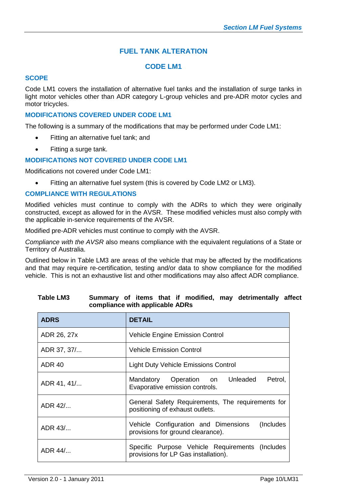# **FUEL TANK ALTERATION**

### **CODE LM1**

#### **SCOPE**

Code LM1 covers the installation of alternative fuel tanks and the installation of surge tanks in light motor vehicles other than ADR category L-group vehicles and pre-ADR motor cycles and motor tricycles.

#### **MODIFICATIONS COVERED UNDER CODE LM1**

The following is a summary of the modifications that may be performed under Code LM1:

- Fitting an alternative fuel tank; and
- Fitting a surge tank.

#### **MODIFICATIONS NOT COVERED UNDER CODE LM1**

Modifications not covered under Code LM1:

Fitting an alternative fuel system (this is covered by Code LM2 or LM3).

#### **COMPLIANCE WITH REGULATIONS**

Modified vehicles must continue to comply with the ADRs to which they were originally constructed, except as allowed for in the AVSR. These modified vehicles must also comply with the applicable in-service requirements of the AVSR.

Modified pre-ADR vehicles must continue to comply with the AVSR.

*Compliance with the AVSR* also means compliance with the equivalent regulations of a State or Territory of Australia.

Outlined below in Table LM3 are areas of the vehicle that may be affected by the modifications and that may require re-certification, testing and/or data to show compliance for the modified vehicle. This is not an exhaustive list and other modifications may also affect ADR compliance.

| <b>ADRS</b>        | <b>DETAIL</b>                                                                           |  |  |  |  |  |  |
|--------------------|-----------------------------------------------------------------------------------------|--|--|--|--|--|--|
| ADR 26, 27x        | <b>Vehicle Engine Emission Control</b>                                                  |  |  |  |  |  |  |
| ADR 37, 37/        | <b>Vehicle Emission Control</b>                                                         |  |  |  |  |  |  |
| <b>ADR 40</b>      | <b>Light Duty Vehicle Emissions Control</b>                                             |  |  |  |  |  |  |
| ADR 41, 41/        | Mandatory Operation on Unleaded<br>Petrol,<br>Evaporative emission controls.            |  |  |  |  |  |  |
| ADR 42/            | General Safety Requirements, The requirements for<br>positioning of exhaust outlets.    |  |  |  |  |  |  |
| ADR 43/            | Vehicle Configuration and Dimensions<br>(Includes)<br>provisions for ground clearance). |  |  |  |  |  |  |
| $ADR$ 44/ $\ldots$ | Specific Purpose Vehicle Requirements (Includes<br>provisions for LP Gas installation). |  |  |  |  |  |  |

#### **Table LM3 Summary of items that if modified, may detrimentally affect compliance with applicable ADRs**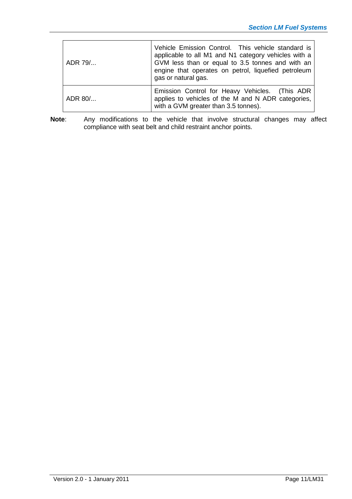| ADR 79/ | Vehicle Emission Control. This vehicle standard is<br>applicable to all M1 and N1 category vehicles with a<br>GVM less than or equal to 3.5 tonnes and with an<br>engine that operates on petrol, liquefied petroleum<br>gas or natural gas. |
|---------|----------------------------------------------------------------------------------------------------------------------------------------------------------------------------------------------------------------------------------------------|
| ADR 80/ | Emission Control for Heavy Vehicles. (This ADR<br>applies to vehicles of the M and N ADR categories,<br>with a GVM greater than 3.5 tonnes).                                                                                                 |

**Note**: Any modifications to the vehicle that involve structural changes may affect compliance with seat belt and child restraint anchor points.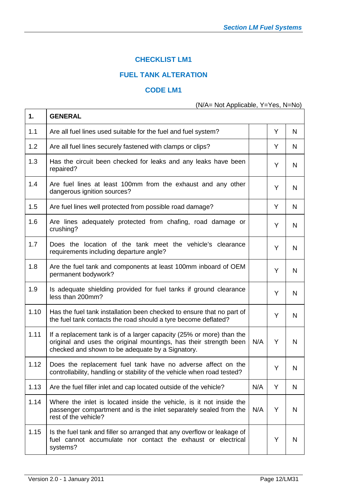# **CHECKLIST LM1**

# **FUEL TANK ALTERATION**

#### **CODE LM1**

(N/A= Not Applicable, Y=Yes, N=No)

| 1.   | <b>GENERAL</b>                                                                                                                                                                                |     |   |   |
|------|-----------------------------------------------------------------------------------------------------------------------------------------------------------------------------------------------|-----|---|---|
| 1.1  | Are all fuel lines used suitable for the fuel and fuel system?                                                                                                                                |     | Y | N |
| 1.2  | Are all fuel lines securely fastened with clamps or clips?                                                                                                                                    |     | Y | N |
| 1.3  | Has the circuit been checked for leaks and any leaks have been<br>repaired?                                                                                                                   |     | Y | N |
| 1.4  | Are fuel lines at least 100mm from the exhaust and any other<br>dangerous ignition sources?                                                                                                   |     | Y | N |
| 1.5  | Are fuel lines well protected from possible road damage?                                                                                                                                      |     | Y | N |
| 1.6  | Are lines adequately protected from chafing, road damage or<br>crushing?                                                                                                                      |     | Y | N |
| 1.7  | Does the location of the tank meet the vehicle's clearance<br>requirements including departure angle?                                                                                         |     | Y | N |
| 1.8  | Are the fuel tank and components at least 100mm inboard of OEM<br>permanent bodywork?                                                                                                         |     | Y | N |
| 1.9  | Is adequate shielding provided for fuel tanks if ground clearance<br>less than 200mm?                                                                                                         |     | Y | N |
| 1.10 | Has the fuel tank installation been checked to ensure that no part of<br>the fuel tank contacts the road should a tyre become deflated?                                                       |     | Y | N |
| 1.11 | If a replacement tank is of a larger capacity (25% or more) than the<br>original and uses the original mountings, has their strength been<br>checked and shown to be adequate by a Signatory. | N/A | Y | N |
| 1.12 | Does the replacement fuel tank have no adverse affect on the<br>controllability, handling or stability of the vehicle when road tested?                                                       |     | Y | N |
| 1.13 | Are the fuel filler inlet and cap located outside of the vehicle?                                                                                                                             | N/A | Y | N |
| 1.14 | Where the inlet is located inside the vehicle, is it not inside the<br>passenger compartment and is the inlet separately sealed from the<br>rest of the vehicle?                              | N/A | Υ | N |
| 1.15 | Is the fuel tank and filler so arranged that any overflow or leakage of<br>fuel cannot accumulate nor contact the exhaust or electrical<br>systems?                                           |     | Y | N |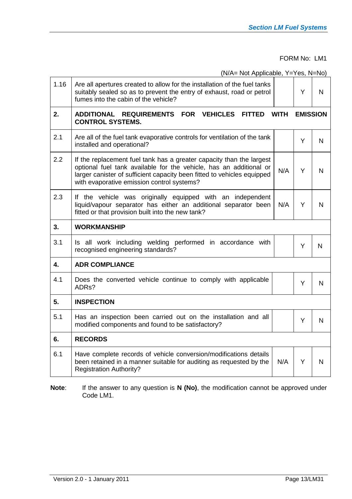FORM No: LM1

(N/A= Not Applicable, Y=Yes, N=No)

| 1.16 | Are all apertures created to allow for the installation of the fuel tanks<br>suitably sealed so as to prevent the entry of exhaust, road or petrol<br>fumes into the cabin of the vehicle?                                                                          |             | Y               | N            |  |  |  |  |  |  |
|------|---------------------------------------------------------------------------------------------------------------------------------------------------------------------------------------------------------------------------------------------------------------------|-------------|-----------------|--------------|--|--|--|--|--|--|
| 2.   | ADDITIONAL REQUIREMENTS FOR VEHICLES<br><b>FITTED</b><br><b>CONTROL SYSTEMS.</b>                                                                                                                                                                                    | <b>WITH</b> | <b>EMISSION</b> |              |  |  |  |  |  |  |
| 2.1  | Are all of the fuel tank evaporative controls for ventilation of the tank<br>installed and operational?                                                                                                                                                             |             | Y               | N            |  |  |  |  |  |  |
| 2.2  | If the replacement fuel tank has a greater capacity than the largest<br>optional fuel tank available for the vehicle, has an additional or<br>larger canister of sufficient capacity been fitted to vehicles equipped<br>with evaporative emission control systems? | N/A         | Y               | N            |  |  |  |  |  |  |
| 2.3  | If the vehicle was originally equipped with an independent<br>liquid/vapour separator has either an additional separator been<br>fitted or that provision built into the new tank?                                                                                  | N/A         | Y               | N            |  |  |  |  |  |  |
| 3.   | <b>WORKMANSHIP</b>                                                                                                                                                                                                                                                  |             |                 |              |  |  |  |  |  |  |
| 3.1  | Is all work including welding performed in accordance with<br>recognised engineering standards?                                                                                                                                                                     |             | Y               | $\mathsf{N}$ |  |  |  |  |  |  |
| 4.   | <b>ADR COMPLIANCE</b>                                                                                                                                                                                                                                               |             |                 |              |  |  |  |  |  |  |
| 4.1  | Does the converted vehicle continue to comply with applicable<br>ADRs?                                                                                                                                                                                              |             | Y               | N            |  |  |  |  |  |  |
| 5.   | <b>INSPECTION</b>                                                                                                                                                                                                                                                   |             |                 |              |  |  |  |  |  |  |
| 5.1  | Has an inspection been carried out on the installation and all<br>Y<br>modified components and found to be satisfactory?                                                                                                                                            |             |                 |              |  |  |  |  |  |  |
| 6.   | <b>RECORDS</b>                                                                                                                                                                                                                                                      |             |                 |              |  |  |  |  |  |  |
| 6.1  | Have complete records of vehicle conversion/modifications details<br>been retained in a manner suitable for auditing as requested by the<br><b>Registration Authority?</b>                                                                                          | N/A         | Y               | N            |  |  |  |  |  |  |

**Note**: If the answer to any question is **N (No)**, the modification cannot be approved under Code LM1.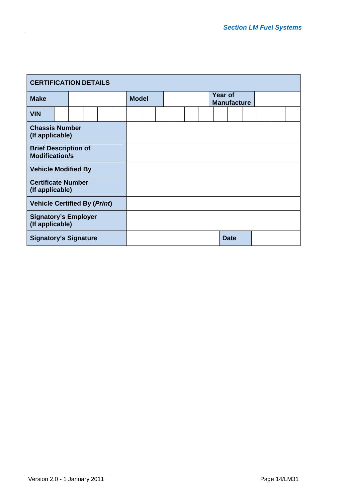| <b>CERTIFICATION DETAILS</b>                         |  |  |  |  |  |              |  |  |  |  |  |  |                               |  |  |  |  |  |
|------------------------------------------------------|--|--|--|--|--|--------------|--|--|--|--|--|--|-------------------------------|--|--|--|--|--|
| <b>Make</b>                                          |  |  |  |  |  | <b>Model</b> |  |  |  |  |  |  | Year of<br><b>Manufacture</b> |  |  |  |  |  |
| <b>VIN</b>                                           |  |  |  |  |  |              |  |  |  |  |  |  |                               |  |  |  |  |  |
| <b>Chassis Number</b><br>(If applicable)             |  |  |  |  |  |              |  |  |  |  |  |  |                               |  |  |  |  |  |
| <b>Brief Description of</b><br><b>Modification/s</b> |  |  |  |  |  |              |  |  |  |  |  |  |                               |  |  |  |  |  |
| <b>Vehicle Modified By</b>                           |  |  |  |  |  |              |  |  |  |  |  |  |                               |  |  |  |  |  |
| <b>Certificate Number</b><br>(If applicable)         |  |  |  |  |  |              |  |  |  |  |  |  |                               |  |  |  |  |  |
| <b>Vehicle Certified By (Print)</b>                  |  |  |  |  |  |              |  |  |  |  |  |  |                               |  |  |  |  |  |
| <b>Signatory's Employer</b><br>(If applicable)       |  |  |  |  |  |              |  |  |  |  |  |  |                               |  |  |  |  |  |
| <b>Signatory's Signature</b>                         |  |  |  |  |  |              |  |  |  |  |  |  | <b>Date</b>                   |  |  |  |  |  |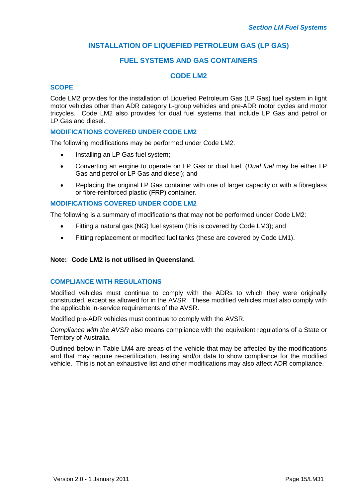# **INSTALLATION OF LIQUEFIED PETROLEUM GAS (LP GAS)**

#### **FUEL SYSTEMS AND GAS CONTAINERS**

#### **CODE LM2**

#### **SCOPE**

Code LM2 provides for the installation of Liquefied Petroleum Gas (LP Gas) fuel system in light motor vehicles other than ADR category L-group vehicles and pre-ADR motor cycles and motor tricycles. Code LM2 also provides for dual fuel systems that include LP Gas and petrol or LP Gas and diesel.

#### **MODIFICATIONS COVERED UNDER CODE LM2**

The following modifications may be performed under Code LM2.

- Installing an LP Gas fuel system;
- Converting an engine to operate on LP Gas or dual fuel, (*Dual fuel* may be either LP Gas and petrol or LP Gas and diesel); and
- Replacing the original LP Gas container with one of larger capacity or with a fibreglass or fibre-reinforced plastic (FRP) container.

#### **MODIFICATIONS COVERED UNDER CODE LM2**

The following is a summary of modifications that may not be performed under Code LM2:

- Fitting a natural gas (NG) fuel system (this is covered by Code LM3); and
- Fitting replacement or modified fuel tanks (these are covered by Code LM1).

#### **Note: Code LM2 is not utilised in Queensland.**

#### **COMPLIANCE WITH REGULATIONS**

Modified vehicles must continue to comply with the ADRs to which they were originally constructed, except as allowed for in the AVSR. These modified vehicles must also comply with the applicable in-service requirements of the AVSR.

Modified pre-ADR vehicles must continue to comply with the AVSR.

*Compliance with the AVSR* also means compliance with the equivalent regulations of a State or Territory of Australia.

Outlined below in Table LM4 are areas of the vehicle that may be affected by the modifications and that may require re-certification, testing and/or data to show compliance for the modified vehicle. This is not an exhaustive list and other modifications may also affect ADR compliance.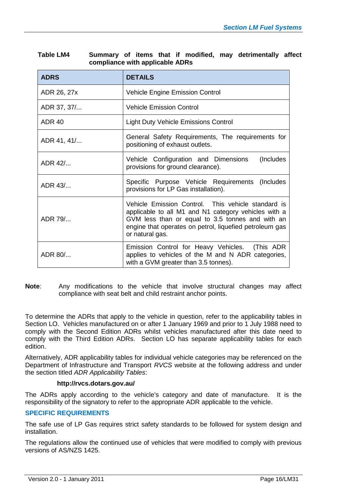| <b>ADRS</b>   | <b>DETAILS</b>                                                                                                                                                                                                                               |  |  |  |  |  |  |
|---------------|----------------------------------------------------------------------------------------------------------------------------------------------------------------------------------------------------------------------------------------------|--|--|--|--|--|--|
| ADR 26, 27x   | <b>Vehicle Engine Emission Control</b>                                                                                                                                                                                                       |  |  |  |  |  |  |
| ADR 37, 37/   | <b>Vehicle Emission Control</b>                                                                                                                                                                                                              |  |  |  |  |  |  |
| <b>ADR 40</b> | <b>Light Duty Vehicle Emissions Control</b>                                                                                                                                                                                                  |  |  |  |  |  |  |
| ADR 41, 41/   | General Safety Requirements, The requirements for<br>positioning of exhaust outlets.                                                                                                                                                         |  |  |  |  |  |  |
| ADR 42/       | Vehicle Configuration and Dimensions<br>(Includes)<br>provisions for ground clearance).                                                                                                                                                      |  |  |  |  |  |  |
| ADR 43/       | Specific Purpose Vehicle Requirements (Includes<br>provisions for LP Gas installation).                                                                                                                                                      |  |  |  |  |  |  |
| ADR 79/       | Vehicle Emission Control. This vehicle standard is<br>applicable to all M1 and N1 category vehicles with a<br>GVM less than or equal to 3.5 tonnes and with an<br>engine that operates on petrol, liquefied petroleum gas<br>or natural gas. |  |  |  |  |  |  |
| ADR 80/       | Emission Control for Heavy Vehicles. (This ADR<br>applies to vehicles of the M and N ADR categories,<br>with a GVM greater than 3.5 tonnes).                                                                                                 |  |  |  |  |  |  |

| <b>Table LM4</b> |                                 |  |  |  | Summary of items that if modified, may detrimentally affect |  |
|------------------|---------------------------------|--|--|--|-------------------------------------------------------------|--|
|                  | compliance with applicable ADRs |  |  |  |                                                             |  |

**Note**: Any modifications to the vehicle that involve structural changes may affect compliance with seat belt and child restraint anchor points.

To determine the ADRs that apply to the vehicle in question, refer to the applicability tables in Section LO. Vehicles manufactured on or after 1 January 1969 and prior to 1 July 1988 need to comply with the Second Edition ADRs whilst vehicles manufactured after this date need to comply with the Third Edition ADRs. Section LO has separate applicability tables for each edition.

Alternatively, ADR applicability tables for individual vehicle categories may be referenced on the Department of Infrastructure and Transport *RVCS* website at the following address and under the section titled *ADR Applicability Tables*:

#### **http://rvcs.dotars.gov.au/**

The ADRs apply according to the vehicle's category and date of manufacture. It is the responsibility of the signatory to refer to the appropriate ADR applicable to the vehicle.

#### **SPECIFIC REQUIREMENTS**

The safe use of LP Gas requires strict safety standards to be followed for system design and installation.

The regulations allow the continued use of vehicles that were modified to comply with previous versions of AS/NZS 1425.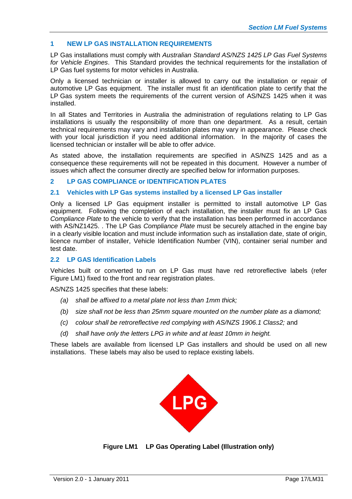#### **1 NEW LP GAS INSTALLATION REQUIREMENTS**

LP Gas installations must comply with *Australian Standard AS/NZS 1425 LP Gas Fuel Systems for Vehicle Engines*. This Standard provides the technical requirements for the installation of LP Gas fuel systems for motor vehicles in Australia.

Only a licensed technician or installer is allowed to carry out the installation or repair of automotive LP Gas equipment. The installer must fit an identification plate to certify that the LP Gas system meets the requirements of the current version of AS/NZS 1425 when it was installed.

In all States and Territories in Australia the administration of regulations relating to LP Gas installations is usually the responsibility of more than one department. As a result, certain technical requirements may vary and installation plates may vary in appearance. Please check with your local jurisdiction if you need additional information. In the majority of cases the licensed technician or installer will be able to offer advice.

As stated above, the installation requirements are specified in AS/NZS 1425 and as a consequence these requirements will not be repeated in this document. However a number of issues which affect the consumer directly are specified below for information purposes.

#### **2 LP GAS COMPLIANCE or IDENTIFICATION PLATES**

#### **2.1 Vehicles with LP Gas systems installed by a licensed LP Gas installer**

Only a licensed LP Gas equipment installer is permitted to install automotive LP Gas equipment. Following the completion of each installation, the installer must fix an LP Gas *Compliance Plate* to the vehicle to verify that the installation has been performed in accordance with AS/NZ1425. . The LP Gas *Compliance Plate* must be securely attached in the engine bay in a clearly visible location and must include information such as installation date, state of origin, licence number of installer, Vehicle Identification Number (VIN), container serial number and test date.

#### **2.2 LP GAS Identification Labels**

Vehicles built or converted to run on LP Gas must have red retroreflective labels (refer Figure LM1) fixed to the front and rear registration plates.

AS/NZS 1425 specifies that these labels:

- *(a) shall be affixed to a metal plate not less than 1mm thick;*
- *(b) size shall not be less than 25mm square mounted on the number plate as a diamond;*
- *(c) colour shall be retroreflective red complying with AS/NZS 1906.1 Class2;* and
- *(d) shall have only the letters LPG in white and at least 10mm in height.*

These labels are available from licensed LP Gas installers and should be used on all new installations. These labels may also be used to replace existing labels.



**Figure LM1 LP Gas Operating Label (Illustration only)**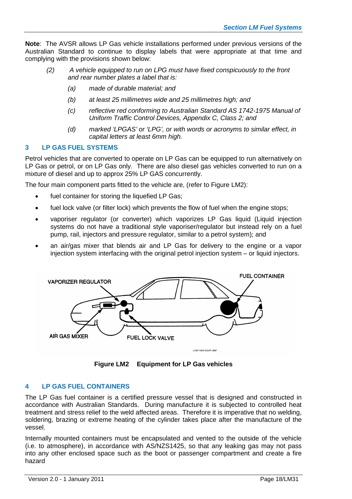**Note**: The AVSR allows LP Gas vehicle installations performed under previous versions of the Australian Standard to continue to display labels that were appropriate at that time and complying with the provisions shown below:

- *(2) A vehicle equipped to run on LPG must have fixed conspicuously to the front and rear number plates a label that is:*
	- *(a) made of durable material; and*
	- *(b) at least 25 millimetres wide and 25 millimetres high; and*
	- *(c) reflective red conforming to Australian Standard AS 1742-1975 Manual of Uniform Traffic Control Devices, Appendix C, Class 2; and*
	- *(d) marked 'LPGAS' or 'LPG', or with words or acronyms to similar effect, in capital letters at least 6mm high.*

#### **3 LP GAS FUEL SYSTEMS**

Petrol vehicles that are converted to operate on LP Gas can be equipped to run alternatively on LP Gas or petrol, or on LP Gas only. There are also diesel gas vehicles converted to run on a mixture of diesel and up to approx 25% LP GAS concurrently.

The four main component parts fitted to the vehicle are, (refer to Figure LM2):

- fuel container for storing the liquefied LP Gas;
- fuel lock valve (or filter lock) which prevents the flow of fuel when the engine stops;
- vaporiser regulator (or converter) which vaporizes LP Gas liquid (Liquid injection systems do not have a traditional style vaporiser/regulator but instead rely on a fuel pump, rail, injectors and pressure regulator, similar to a petrol system); and
- an air/gas mixer that blends air and LP Gas for delivery to the engine or a vapor injection system interfacing with the original petrol injection system – or liquid injectors.



**Figure LM2 Equipment for LP Gas vehicles**

#### **4 LP GAS FUEL CONTAINERS**

The LP Gas fuel container is a certified pressure vessel that is designed and constructed in accordance with Australian Standards. During manufacture it is subjected to controlled heat treatment and stress relief to the weld affected areas. Therefore it is imperative that no welding, soldering, brazing or extreme heating of the cylinder takes place after the manufacture of the vessel.

Internally mounted containers must be encapsulated and vented to the outside of the vehicle (i.e. to atmosphere), in accordance with AS/NZS1425, so that any leaking gas may not pass into any other enclosed space such as the boot or passenger compartment and create a fire hazard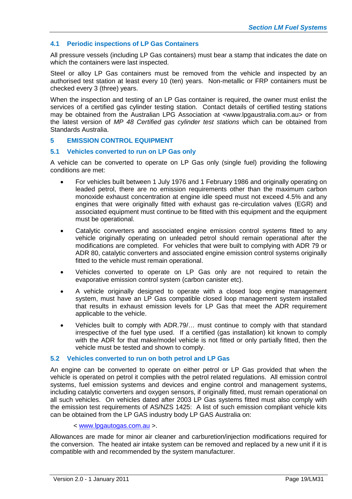#### **4.1 Periodic inspections of LP Gas Containers**

All pressure vessels (including LP Gas containers) must bear a stamp that indicates the date on which the containers were last inspected.

Steel or alloy LP Gas containers must be removed from the vehicle and inspected by an authorised test station at least every 10 (ten) years. Non-metallic or FRP containers must be checked every 3 (three) years.

When the inspection and testing of an LP Gas container is required, the owner must enlist the services of a certified gas cylinder testing station. Contact details of certified testing stations may be obtained from the Australian LPG Association at <www.lpgaustralia.com.au> or from the latest version of *MP 48 Certified gas cylinder test stations* which can be obtained from Standards Australia.

#### **5 EMISSION CONTROL EQUIPMENT**

#### **5.1 Vehicles converted to run on LP Gas only**

A vehicle can be converted to operate on LP Gas only (single fuel) providing the following conditions are met:

- For vehicles built between 1 July 1976 and 1 February 1986 and originally operating on leaded petrol, there are no emission requirements other than the maximum carbon monoxide exhaust concentration at engine idle speed must not exceed 4.5% and any engines that were originally fitted with exhaust gas re-circulation valves (EGR) and associated equipment must continue to be fitted with this equipment and the equipment must be operational.
- Catalytic converters and associated engine emission control systems fitted to any vehicle originally operating on unleaded petrol should remain operational after the modifications are completed. For vehicles that were built to complying with ADR 79 or ADR 80, catalytic converters and associated engine emission control systems originally fitted to the vehicle must remain operational.
- Vehicles converted to operate on LP Gas only are not required to retain the evaporative emission control system (carbon canister etc).
- A vehicle originally designed to operate with a closed loop engine management system, must have an LP Gas compatible closed loop management system installed that results in exhaust emission levels for LP Gas that meet the ADR requirement applicable to the vehicle.
- Vehicles built to comply with ADR.79/… must continue to comply with that standard irrespective of the fuel type used. If a certified (gas installation) kit known to comply with the ADR for that make/model vehicle is not fitted or only partially fitted, then the vehicle must be tested and shown to comply.

#### **5.2 Vehicles converted to run on both petrol and LP Gas**

An engine can be converted to operate on either petrol or LP Gas provided that when the vehicle is operated on petrol it complies with the petrol related regulations. All emission control systems, fuel emission systems and devices and engine control and management systems, including catalytic converters and oxygen sensors, if originally fitted, must remain operational on all such vehicles. On vehicles dated after 2003 LP Gas systems fitted must also comply with the emission test requirements of AS/NZS 1425: A list of such emission compliant vehicle kits can be obtained from the LP GAS industry body LP GAS Australia on:

#### < [www.lpgautogas.com.au](http://www.lpgautogas.com.au/) >.

Allowances are made for minor air cleaner and carburetion/injection modifications required for the conversion. The heated air intake system can be removed and replaced by a new unit if it is compatible with and recommended by the system manufacturer.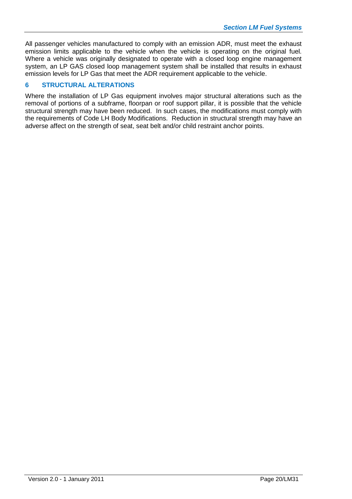All passenger vehicles manufactured to comply with an emission ADR, must meet the exhaust emission limits applicable to the vehicle when the vehicle is operating on the original fuel. Where a vehicle was originally designated to operate with a closed loop engine management system, an LP GAS closed loop management system shall be installed that results in exhaust emission levels for LP Gas that meet the ADR requirement applicable to the vehicle.

#### **6 STRUCTURAL ALTERATIONS**

Where the installation of LP Gas equipment involves major structural alterations such as the removal of portions of a subframe, floorpan or roof support pillar, it is possible that the vehicle structural strength may have been reduced. In such cases, the modifications must comply with the requirements of Code LH Body Modifications. Reduction in structural strength may have an adverse affect on the strength of seat, seat belt and/or child restraint anchor points.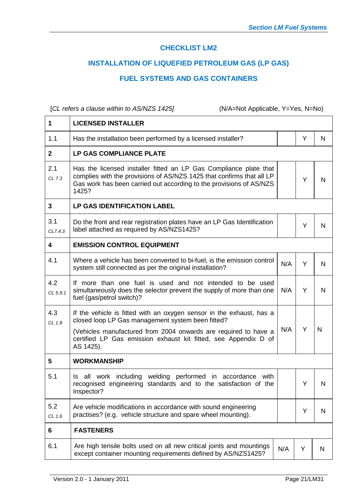# **CHECKLIST LM2**

# **INSTALLATION OF LIQUEFIED PETROLEUM GAS (LP GAS)**

### **FUEL SYSTEMS AND GAS CONTAINERS**

[*CL refers a clause within to AS/NZS 1425]* (N/A=Not Applicable, Y=Yes, N=No)

 $\Gamma$ 

| 1               | <b>LICENSED INSTALLER</b>                                                                                                                                                                                                                                                    |     |    |   |
|-----------------|------------------------------------------------------------------------------------------------------------------------------------------------------------------------------------------------------------------------------------------------------------------------------|-----|----|---|
| 1.1             | Has the installation been performed by a licensed installer?                                                                                                                                                                                                                 |     | Y  | N |
| $\mathbf{2}$    | LP GAS COMPLIANCE PLATE                                                                                                                                                                                                                                                      |     |    |   |
| 2.1<br>CL 7.3   | Has the licensed installer fitted an LP Gas Compliance plate that<br>complies with the provisions of AS/NZS 1425 that confirms that all LP<br>Gas work has been carried out according to the provisions of AS/NZS<br>1425?                                                   |     | Y  | N |
| 3               | <b>LP GAS IDENTIFICATION LABEL</b>                                                                                                                                                                                                                                           |     |    |   |
| 3.1<br>CL7.4.3  | Do the front and rear registration plates have an LP Gas Identification<br>label attached as required by AS/NZS1425?                                                                                                                                                         |     | Y  | N |
| 4               | <b>EMISSION CONTROL EQUIPMENT</b>                                                                                                                                                                                                                                            |     |    |   |
| 4.1             | Where a vehicle has been converted to bi-fuel, is the emission control<br>system still connected as per the original installation?                                                                                                                                           | N/A | Y  | N |
| 4.2<br>CL 5.9.1 | If more than one fuel is used and not intended to be used<br>simultaneously does the selector prevent the supply of more than one<br>fuel (gas/petrol switch)?                                                                                                               | N/A | Y  | N |
| 4.3<br>CL 1.8   | If the vehicle is fitted with an oxygen sensor in the exhaust, has a<br>closed loop LP Gas management system been fitted?<br>(Vehicles manufactured from 2004 onwards are required to have a<br>certified LP Gas emission exhaust kit fitted, see Appendix D of<br>AS 1425). | N/A | Y  | N |
| 5               | <b>WORKMANSHIP</b>                                                                                                                                                                                                                                                           |     |    |   |
| 5.1             | all work including welding performed in accordance with<br>Is.<br>recognised engineering standards and to the satisfaction of the<br>Inspector?                                                                                                                              |     | Y. | N |
| 5.2<br>CL 1.6   | Are vehicle modifications in accordance with sound engineering<br>practises? (e.g. vehicle structure and spare wheel mounting).                                                                                                                                              |     | Y  | N |
| 6               | <b>FASTENERS</b>                                                                                                                                                                                                                                                             |     |    |   |
| 6.1             | Are high tensile bolts used on all new critical joints and mountings<br>except container mounting requirements defined by AS/NZS1425?                                                                                                                                        | N/A | Υ  | N |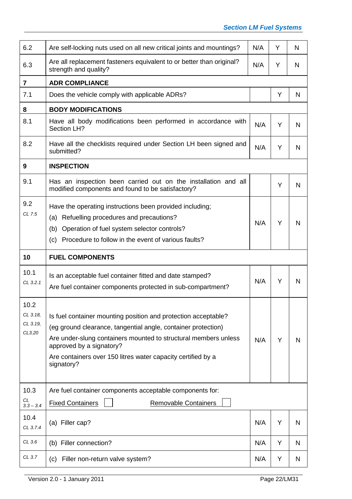| 6.2                          |                                                                                                                                                                                                                                            |     |   |   |
|------------------------------|--------------------------------------------------------------------------------------------------------------------------------------------------------------------------------------------------------------------------------------------|-----|---|---|
|                              | Are self-locking nuts used on all new critical joints and mountings?                                                                                                                                                                       | N/A | Y | N |
| 6.3                          | Are all replacement fasteners equivalent to or better than original?<br>strength and quality?                                                                                                                                              | N/A | Y | N |
| $\overline{\mathbf{7}}$      | <b>ADR COMPLIANCE</b>                                                                                                                                                                                                                      |     |   |   |
| 7.1                          | Does the vehicle comply with applicable ADRs?                                                                                                                                                                                              |     | Y | N |
| 8                            | <b>BODY MODIFICATIONS</b>                                                                                                                                                                                                                  |     |   |   |
| 8.1                          | Have all body modifications been performed in accordance with<br>Section LH?                                                                                                                                                               | N/A | Y | N |
| 8.2                          | Have all the checklists required under Section LH been signed and<br>submitted?                                                                                                                                                            | N/A | Y | N |
| 9                            | <b>INSPECTION</b>                                                                                                                                                                                                                          |     |   |   |
| 9.1                          | Has an inspection been carried out on the installation and all<br>modified components and found to be satisfactory?                                                                                                                        |     | Y | N |
| 9.2<br>CL 7.5                | Have the operating instructions been provided including;<br>Refuelling procedures and precautions?<br>(a)<br>Operation of fuel system selector controls?<br>(b)<br>Procedure to follow in the event of various faults?<br>(c)              | N/A | Y | N |
| 10                           | <b>FUEL COMPONENTS</b>                                                                                                                                                                                                                     |     |   |   |
| 10.1<br>CL 3.2.1             | Is an acceptable fuel container fitted and date stamped?<br>Are fuel container components protected in sub-compartment?                                                                                                                    | N/A | Y | N |
| 10.2<br>CL 3.18.<br>CL 3.19, | Is fuel container mounting position and protection acceptable?                                                                                                                                                                             |     |   |   |
| CL3.20                       | (eg ground clearance, tangential angle, container protection)<br>Are under-slung containers mounted to structural members unless<br>approved by a signatory?<br>Are containers over 150 litres water capacity certified by a<br>signatory? | N/A | Y | N |
| 10.3                         | Are fuel container components acceptable components for:                                                                                                                                                                                   |     |   |   |
| CL<br>$3.3 - 3.4$            | <b>Fixed Containers</b><br><b>Removable Containers</b>                                                                                                                                                                                     |     |   |   |
| 10.4<br>CL 3.7.4             | (a) Filler cap?                                                                                                                                                                                                                            | N/A | Y | N |
| CL 3.6                       | (b) Filler connection?                                                                                                                                                                                                                     | N/A | Y | N |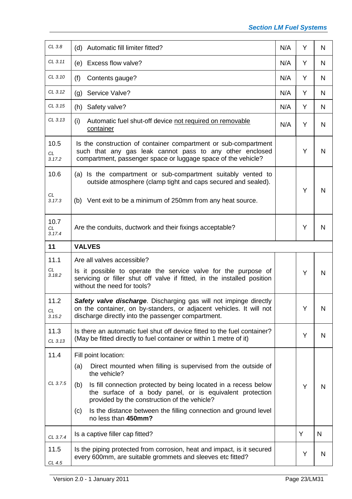| CL 3.8                      | (d) Automatic fill limiter fitted?                                                                                                                                                             | N/A | Y | N |  |  |  |  |  |  |  |
|-----------------------------|------------------------------------------------------------------------------------------------------------------------------------------------------------------------------------------------|-----|---|---|--|--|--|--|--|--|--|
| CL 3.11                     | (e) Excess flow valve?                                                                                                                                                                         | N/A | Y | N |  |  |  |  |  |  |  |
| CL 3.10                     | (f)<br>Contents gauge?                                                                                                                                                                         | N/A | Y | N |  |  |  |  |  |  |  |
| CL 3.12                     | Service Valve?<br>(g)                                                                                                                                                                          | N/A | Y | N |  |  |  |  |  |  |  |
| CL 3.15                     | Safety valve?<br>(h)                                                                                                                                                                           | N/A | Y | N |  |  |  |  |  |  |  |
| CL 3.13                     | (i)<br>Automatic fuel shut-off device not required on removable<br>container                                                                                                                   | N/A | Y | N |  |  |  |  |  |  |  |
| 10.5<br><b>CL</b><br>3.17.2 | Is the construction of container compartment or sub-compartment<br>such that any gas leak cannot pass to any other enclosed<br>compartment, passenger space or luggage space of the vehicle?   |     | Y | N |  |  |  |  |  |  |  |
| 10.6                        | (a) Is the compartment or sub-compartment suitably vented to<br>outside atmosphere (clamp tight and caps secured and sealed).                                                                  |     |   |   |  |  |  |  |  |  |  |
| CL<br>3.17.3                | Vent exit to be a minimum of 250mm from any heat source.<br>(b)                                                                                                                                |     | Υ | N |  |  |  |  |  |  |  |
| 10.7<br>CL<br>3.17.4        | Are the conduits, ductwork and their fixings acceptable?                                                                                                                                       |     |   |   |  |  |  |  |  |  |  |
| 11                          | <b>VALVES</b>                                                                                                                                                                                  |     |   |   |  |  |  |  |  |  |  |
| 11.1                        | Are all valves accessible?                                                                                                                                                                     |     |   |   |  |  |  |  |  |  |  |
| CL<br>3.18.2                | Is it possible to operate the service valve for the purpose of<br>servicing or filler shut off valve if fitted, in the installed position<br>without the need for tools?                       |     | Y | N |  |  |  |  |  |  |  |
| 11.2<br>CL<br>3.15.2        | Safety valve discharge. Discharging gas will not impinge directly<br>on the container, on by-standers, or adjacent vehicles. It will not<br>discharge directly into the passenger compartment. |     | Υ | N |  |  |  |  |  |  |  |
| 11.3<br>CL 3.13             | Is there an automatic fuel shut off device fitted to the fuel container?<br>(May be fitted directly to fuel container or within 1 metre of it)                                                 |     | Y | N |  |  |  |  |  |  |  |
| 11.4                        | Fill point location:                                                                                                                                                                           |     |   |   |  |  |  |  |  |  |  |
|                             | Direct mounted when filling is supervised from the outside of<br>(a)<br>the vehicle?                                                                                                           |     |   |   |  |  |  |  |  |  |  |
| CL 3.7.5                    | Is fill connection protected by being located in a recess below<br>(b)<br>the surface of a body panel, or is equivalent protection<br>provided by the construction of the vehicle?             |     | Y | N |  |  |  |  |  |  |  |
|                             | Is the distance between the filling connection and ground level<br>(c)<br>no less than 450mm?                                                                                                  |     |   |   |  |  |  |  |  |  |  |
| CL 3.7.4                    | Is a captive filler cap fitted?                                                                                                                                                                |     | Y | N |  |  |  |  |  |  |  |
| 11.5                        | Is the piping protected from corrosion, heat and impact, is it secured<br>every 600mm, are suitable grommets and sleeves etc fitted?                                                           |     | Υ | N |  |  |  |  |  |  |  |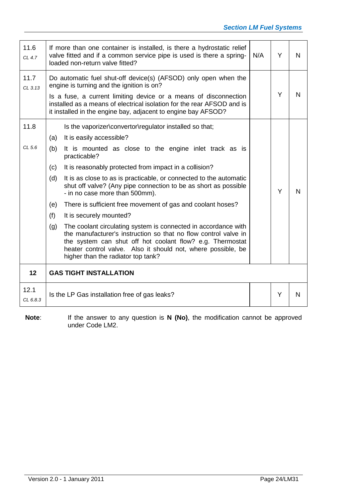| 11.6<br>CL 4.7    |     | If more than one container is installed, is there a hydrostatic relief<br>N/A<br>valve fitted and if a common service pipe is used is there a spring-<br>Y<br>N<br>loaded non-return valve fitted?                                                                                                                          |  |   |   |  |  |  |  |  |  |  |
|-------------------|-----|-----------------------------------------------------------------------------------------------------------------------------------------------------------------------------------------------------------------------------------------------------------------------------------------------------------------------------|--|---|---|--|--|--|--|--|--|--|
| 11.7<br>$CL$ 3.13 |     | Do automatic fuel shut-off device(s) (AFSOD) only open when the<br>engine is turning and the ignition is on?<br>Is a fuse, a current limiting device or a means of disconnection<br>installed as a means of electrical isolation for the rear AFSOD and is<br>it installed in the engine bay, adjacent to engine bay AFSOD? |  | Y | N |  |  |  |  |  |  |  |
| 11.8              |     | Is the vaporizer\convertor\regulator installed so that;                                                                                                                                                                                                                                                                     |  |   |   |  |  |  |  |  |  |  |
|                   | (a) | It is easily accessible?                                                                                                                                                                                                                                                                                                    |  |   |   |  |  |  |  |  |  |  |
| CL <sub>5.6</sub> | (b) | It is mounted as close to the engine inlet track as is<br>practicable?                                                                                                                                                                                                                                                      |  |   |   |  |  |  |  |  |  |  |
|                   | (c) | It is reasonably protected from impact in a collision?                                                                                                                                                                                                                                                                      |  |   |   |  |  |  |  |  |  |  |
|                   | (d) | It is as close to as is practicable, or connected to the automatic<br>shut off valve? (Any pipe connection to be as short as possible<br>- in no case more than 500mm).                                                                                                                                                     |  | Y | N |  |  |  |  |  |  |  |
|                   | (e) | There is sufficient free movement of gas and coolant hoses?                                                                                                                                                                                                                                                                 |  |   |   |  |  |  |  |  |  |  |
|                   | (f) | It is securely mounted?                                                                                                                                                                                                                                                                                                     |  |   |   |  |  |  |  |  |  |  |
|                   | (g) | The coolant circulating system is connected in accordance with<br>the manufacturer's instruction so that no flow control valve in<br>the system can shut off hot coolant flow? e.g. Thermostat<br>heater control valve. Also it should not, where possible, be<br>higher than the radiator top tank?                        |  |   |   |  |  |  |  |  |  |  |
| 12                |     | <b>GAS TIGHT INSTALLATION</b>                                                                                                                                                                                                                                                                                               |  |   |   |  |  |  |  |  |  |  |
| 12.1<br>CL 6.8.3  |     | Is the LP Gas installation free of gas leaks?                                                                                                                                                                                                                                                                               |  | Y | N |  |  |  |  |  |  |  |

**Note**: If the answer to any question is **N (No)**, the modification cannot be approved under Code LM2.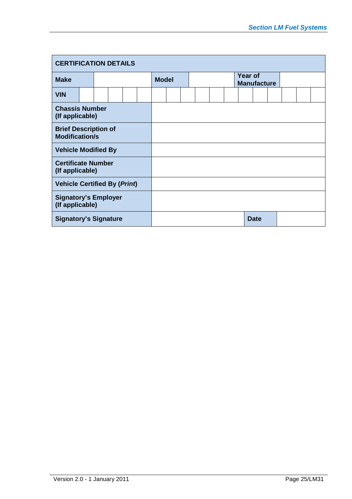|                                                      | <b>CERTIFICATION DETAILS</b> |  |  |  |  |              |  |  |  |  |  |                                      |             |  |  |  |
|------------------------------------------------------|------------------------------|--|--|--|--|--------------|--|--|--|--|--|--------------------------------------|-------------|--|--|--|
| <b>Make</b>                                          |                              |  |  |  |  | <b>Model</b> |  |  |  |  |  | <b>Year of</b><br><b>Manufacture</b> |             |  |  |  |
| <b>VIN</b>                                           |                              |  |  |  |  |              |  |  |  |  |  |                                      |             |  |  |  |
| <b>Chassis Number</b><br>(If applicable)             |                              |  |  |  |  |              |  |  |  |  |  |                                      |             |  |  |  |
| <b>Brief Description of</b><br><b>Modification/s</b> |                              |  |  |  |  |              |  |  |  |  |  |                                      |             |  |  |  |
| <b>Vehicle Modified By</b>                           |                              |  |  |  |  |              |  |  |  |  |  |                                      |             |  |  |  |
| <b>Certificate Number</b><br>(If applicable)         |                              |  |  |  |  |              |  |  |  |  |  |                                      |             |  |  |  |
| <b>Vehicle Certified By (Print)</b>                  |                              |  |  |  |  |              |  |  |  |  |  |                                      |             |  |  |  |
| <b>Signatory's Employer</b><br>(If applicable)       |                              |  |  |  |  |              |  |  |  |  |  |                                      |             |  |  |  |
| <b>Signatory's Signature</b>                         |                              |  |  |  |  |              |  |  |  |  |  |                                      | <b>Date</b> |  |  |  |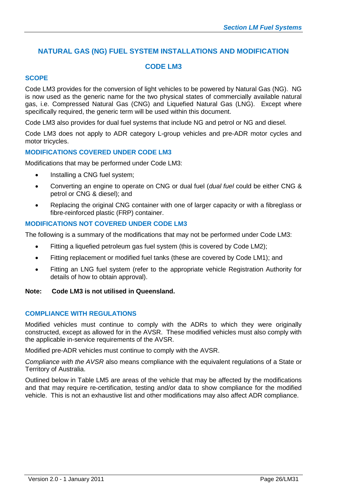# **NATURAL GAS (NG) FUEL SYSTEM INSTALLATIONS AND MODIFICATION**

### **CODE LM3**

#### **SCOPE**

Code LM3 provides for the conversion of light vehicles to be powered by Natural Gas (NG). NG is now used as the generic name for the two physical states of commercially available natural gas, i.e. Compressed Natural Gas (CNG) and Liquefied Natural Gas (LNG). Except where specifically required, the generic term will be used within this document.

Code LM3 also provides for dual fuel systems that include NG and petrol or NG and diesel.

Code LM3 does not apply to ADR category L-group vehicles and pre-ADR motor cycles and motor tricycles.

#### **MODIFICATIONS COVERED UNDER CODE LM3**

Modifications that may be performed under Code LM3:

- Installing a CNG fuel system;
- Converting an engine to operate on CNG or dual fuel (*dual fuel* could be either CNG & petrol or CNG & diesel); and
- Replacing the original CNG container with one of larger capacity or with a fibreglass or fibre-reinforced plastic (FRP) container.

#### **MODIFICATIONS NOT COVERED UNDER CODE LM3**

The following is a summary of the modifications that may not be performed under Code LM3:

- Fitting a liquefied petroleum gas fuel system (this is covered by Code LM2);
- Fitting replacement or modified fuel tanks (these are covered by Code LM1); and
- Fitting an LNG fuel system (refer to the appropriate vehicle Registration Authority for details of how to obtain approval).

#### **Note: Code LM3 is not utilised in Queensland.**

#### **COMPLIANCE WITH REGULATIONS**

Modified vehicles must continue to comply with the ADRs to which they were originally constructed, except as allowed for in the AVSR. These modified vehicles must also comply with the applicable in-service requirements of the AVSR.

Modified pre-ADR vehicles must continue to comply with the AVSR.

*Compliance with the AVSR* also means compliance with the equivalent regulations of a State or Territory of Australia.

Outlined below in Table LM5 are areas of the vehicle that may be affected by the modifications and that may require re-certification, testing and/or data to show compliance for the modified vehicle. This is not an exhaustive list and other modifications may also affect ADR compliance.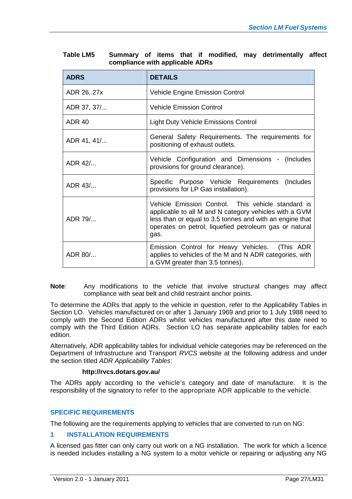| <b>ADRS</b>   | <b>DETAILS</b>                                                                                                                                                                                                                             |
|---------------|--------------------------------------------------------------------------------------------------------------------------------------------------------------------------------------------------------------------------------------------|
| ADR 26, 27x   | Vehicle Engine Emission Control                                                                                                                                                                                                            |
| ADR 37, 37/   | <b>Vehicle Emission Control</b>                                                                                                                                                                                                            |
| <b>ADR 40</b> | <b>Light Duty Vehicle Emissions Control</b>                                                                                                                                                                                                |
| ADR 41, 41/   | General Safety Requirements. The requirements for<br>positioning of exhaust outlets.                                                                                                                                                       |
| ADR 42/       | Vehicle Configuration and Dimensions - (Includes<br>provisions for ground clearance).                                                                                                                                                      |
| ADR 43/       | Specific Purpose Vehicle Requirements (Includes<br>provisions for LP Gas installation).                                                                                                                                                    |
| ADR 79/       | Vehicle Emission Control. This vehicle standard is<br>applicable to all M and N category vehicles with a GVM<br>less than or equal to 3.5 tonnes and with an engine that<br>operates on petrol, liquefied petroleum gas or natural<br>gas. |
| ADR 80/       | Emission Control for Heavy Vehicles. (This ADR<br>applies to vehicles of the M and N ADR categories, with<br>a GVM greater than 3.5 tonnes).                                                                                               |

| Table LM5 |                                 |  |  |  | Summary of items that if modified, may detrimentally affect |  |
|-----------|---------------------------------|--|--|--|-------------------------------------------------------------|--|
|           | compliance with applicable ADRs |  |  |  |                                                             |  |

**Note**: Any modifications to the vehicle that involve structural changes may affect compliance with seat belt and child restraint anchor points.

To determine the ADRs that apply to the vehicle in question, refer to the Applicability Tables in Section LO. Vehicles manufactured on or after 1 January 1969 and prior to 1 July 1988 need to comply with the Second Edition ADRs whilst vehicles manufactured after this date need to comply with the Third Edition ADRs. Section LO has separate applicability tables for each edition.

Alternatively, ADR applicability tables for individual vehicle categories may be referenced on the Department of Infrastructure and Transport *RVCS* website at the following address and under the section titled *ADR Applicability Tables*:

#### **http://rvcs.dotars.gov.au/**

The ADRs apply according to the vehicle's category and date of manufacture. It is the responsibility of the signatory to refer to the appropriate ADR applicable to the vehicle.

#### **SPECIFIC REQUIREMENTS**

The following are the requirements applying to vehicles that are converted to run on NG:

#### **1 INSTALLATION REQUIREMENTS**

A licensed gas fitter can only carry out work on a NG installation. The work for which a licence is needed includes installing a NG system to a motor vehicle or repairing or adjusting any NG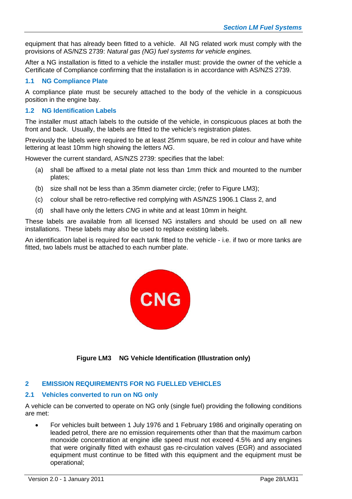equipment that has already been fitted to a vehicle. All NG related work must comply with the provisions of AS/NZS 2739: *Natural gas (NG) fuel systems for vehicle engines.*

After a NG installation is fitted to a vehicle the installer must: provide the owner of the vehicle a Certificate of Compliance confirming that the installation is in accordance with AS/NZS 2739.

#### **1.1 NG Compliance Plate**

A compliance plate must be securely attached to the body of the vehicle in a conspicuous position in the engine bay.

#### **1.2 NG Identification Labels**

The installer must attach labels to the outside of the vehicle, in conspicuous places at both the front and back. Usually, the labels are fitted to the vehicle's registration plates.

Previously the labels were required to be at least 25mm square, be red in colour and have white lettering at least 10mm high showing the letters *NG*.

However the current standard, AS/NZS 2739: specifies that the label:

- (a) shall be affixed to a metal plate not less than 1mm thick and mounted to the number plates;
- (b) size shall not be less than a 35mm diameter circle; (refer to Figure LM3);
- (c) colour shall be retro-reflective red complying with AS/NZS 1906.1 Class 2, and
- (d) shall have only the letters *CNG* in white and at least 10mm in height.

These labels are available from all licensed NG installers and should be used on all new installations. These labels may also be used to replace existing labels.

An identification label is required for each tank fitted to the vehicle - i.e. if two or more tanks are fitted, two labels must be attached to each number plate.



**Figure LM3 NG Vehicle Identification (Illustration only)**

#### **2 EMISSION REQUIREMENTS FOR NG FUELLED VEHICLES**

#### **2.1 Vehicles converted to run on NG only**

A vehicle can be converted to operate on NG only (single fuel) providing the following conditions are met:

 For vehicles built between 1 July 1976 and 1 February 1986 and originally operating on leaded petrol, there are no emission requirements other than that the maximum carbon monoxide concentration at engine idle speed must not exceed 4.5% and any engines that were originally fitted with exhaust gas re-circulation valves (EGR) and associated equipment must continue to be fitted with this equipment and the equipment must be operational;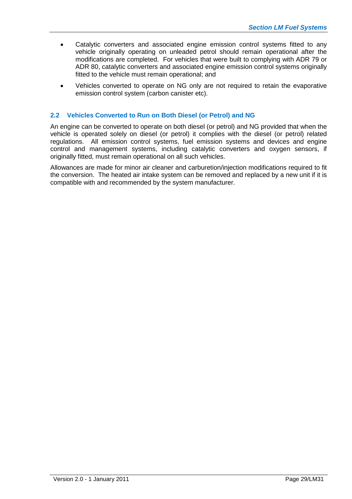- Catalytic converters and associated engine emission control systems fitted to any vehicle originally operating on unleaded petrol should remain operational after the modifications are completed. For vehicles that were built to complying with ADR 79 or ADR 80, catalytic converters and associated engine emission control systems originally fitted to the vehicle must remain operational; and
- Vehicles converted to operate on NG only are not required to retain the evaporative emission control system (carbon canister etc).

#### **2.2 Vehicles Converted to Run on Both Diesel (or Petrol) and NG**

An engine can be converted to operate on both diesel (or petrol) and NG provided that when the vehicle is operated solely on diesel (or petrol) it complies with the diesel (or petrol) related regulations. All emission control systems, fuel emission systems and devices and engine control and management systems, including catalytic converters and oxygen sensors, if originally fitted, must remain operational on all such vehicles.

Allowances are made for minor air cleaner and carburetion/injection modifications required to fit the conversion. The heated air intake system can be removed and replaced by a new unit if it is compatible with and recommended by the system manufacturer.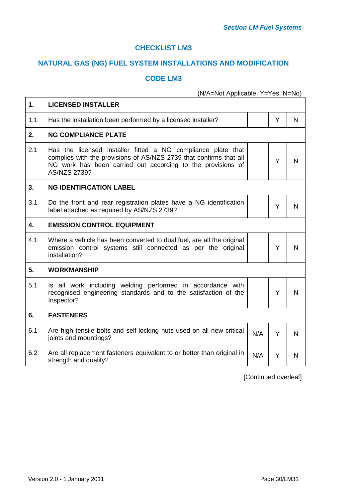### **CHECKLIST LM3**

# **NATURAL GAS (NG) FUEL SYSTEM INSTALLATIONS AND MODIFICATION**

# **CODE LM3**

(N/A=Not Applicable, Y=Yes, N=No)

| 1.  | <b>LICENSED INSTALLER</b>                                                                                                                                                                                                |     |   |   |  |  |  |  |  |
|-----|--------------------------------------------------------------------------------------------------------------------------------------------------------------------------------------------------------------------------|-----|---|---|--|--|--|--|--|
| 1.1 | Has the installation been performed by a licensed installer?                                                                                                                                                             |     | Y | N |  |  |  |  |  |
| 2.  | <b>NG COMPLIANCE PLATE</b>                                                                                                                                                                                               |     |   |   |  |  |  |  |  |
| 2.1 | Has the licensed installer fitted a NG compliance plate that<br>complies with the provisions of AS/NZS 2739 that confirms that all<br>NG work has been carried out according to the provisions of<br><b>AS/NZS 2739?</b> |     | Y | N |  |  |  |  |  |
| 3.  | <b>NG IDENTIFICATION LABEL</b>                                                                                                                                                                                           |     |   |   |  |  |  |  |  |
| 3.1 | Do the front and rear registration plates have a NG identification<br>Y<br>label attached as required by AS/NZS 2739?                                                                                                    |     |   |   |  |  |  |  |  |
| 4.  | <b>EMISSION CONTROL EQUIPMENT</b>                                                                                                                                                                                        |     |   |   |  |  |  |  |  |
| 4.1 | Where a vehicle has been converted to dual fuel, are all the original<br>emission control systems still connected as per the original<br>installation?                                                                   |     |   |   |  |  |  |  |  |
| 5.  | <b>WORKMANSHIP</b>                                                                                                                                                                                                       |     |   |   |  |  |  |  |  |
| 5.1 | Is all work including welding performed in accordance with<br>recognised engineering standards and to the satisfaction of the<br>Inspector?                                                                              |     | Y | N |  |  |  |  |  |
| 6.  | <b>FASTENERS</b>                                                                                                                                                                                                         |     |   |   |  |  |  |  |  |
| 6.1 | Are high tensile bolts and self-locking nuts used on all new critical<br>joints and mountings?                                                                                                                           | N/A | Y | N |  |  |  |  |  |
| 6.2 | Are all replacement fasteners equivalent to or better than original in<br>strength and quality?                                                                                                                          | N/A | Y | N |  |  |  |  |  |

[Continued overleaf]